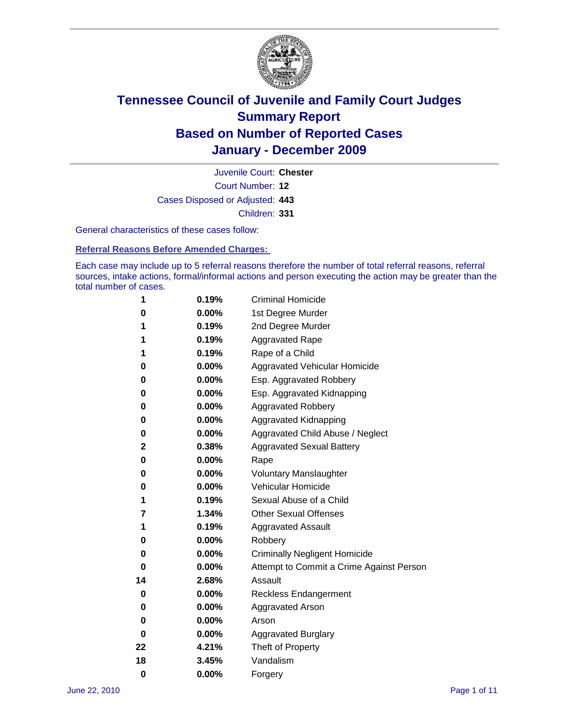

Court Number: **12** Juvenile Court: **Chester** Cases Disposed or Adjusted: **443** Children: **331**

General characteristics of these cases follow:

**Referral Reasons Before Amended Charges:** 

Each case may include up to 5 referral reasons therefore the number of total referral reasons, referral sources, intake actions, formal/informal actions and person executing the action may be greater than the total number of cases.

| 1  | 0.19% | <b>Criminal Homicide</b>                 |
|----|-------|------------------------------------------|
| 0  | 0.00% | 1st Degree Murder                        |
| 1  | 0.19% | 2nd Degree Murder                        |
| 1  | 0.19% | <b>Aggravated Rape</b>                   |
| 1  | 0.19% | Rape of a Child                          |
| 0  | 0.00% | Aggravated Vehicular Homicide            |
| 0  | 0.00% | Esp. Aggravated Robbery                  |
| 0  | 0.00% | Esp. Aggravated Kidnapping               |
| 0  | 0.00% | <b>Aggravated Robbery</b>                |
| 0  | 0.00% | Aggravated Kidnapping                    |
| 0  | 0.00% | Aggravated Child Abuse / Neglect         |
| 2  | 0.38% | <b>Aggravated Sexual Battery</b>         |
| 0  | 0.00% | Rape                                     |
| 0  | 0.00% | <b>Voluntary Manslaughter</b>            |
| 0  | 0.00% | Vehicular Homicide                       |
| 1  | 0.19% | Sexual Abuse of a Child                  |
| 7  | 1.34% | <b>Other Sexual Offenses</b>             |
| 1  | 0.19% | <b>Aggravated Assault</b>                |
| 0  | 0.00% | Robbery                                  |
| 0  | 0.00% | <b>Criminally Negligent Homicide</b>     |
| 0  | 0.00% | Attempt to Commit a Crime Against Person |
| 14 | 2.68% | Assault                                  |
| 0  | 0.00% | <b>Reckless Endangerment</b>             |
| 0  | 0.00% | <b>Aggravated Arson</b>                  |
| 0  | 0.00% | Arson                                    |
| 0  | 0.00% | <b>Aggravated Burglary</b>               |
| 22 | 4.21% | Theft of Property                        |
| 18 | 3.45% | Vandalism                                |
| 0  | 0.00% | Forgery                                  |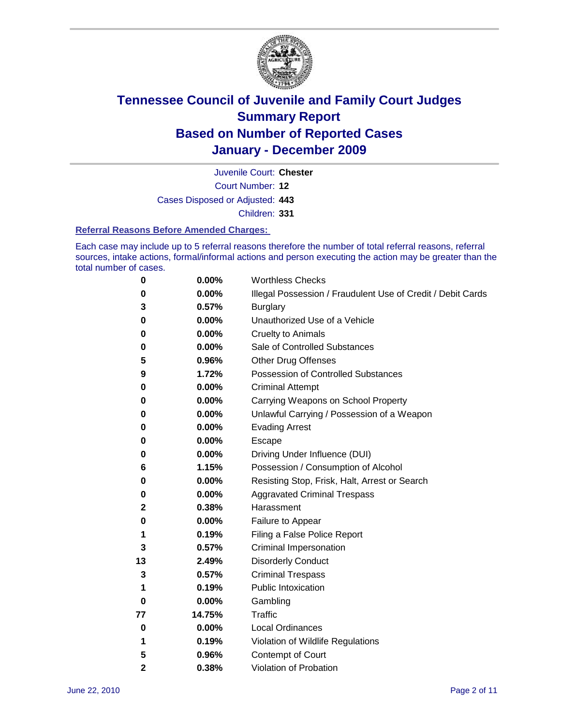

Court Number: **12** Juvenile Court: **Chester**

Cases Disposed or Adjusted: **443**

Children: **331**

#### **Referral Reasons Before Amended Charges:**

Each case may include up to 5 referral reasons therefore the number of total referral reasons, referral sources, intake actions, formal/informal actions and person executing the action may be greater than the total number of cases.

| 0            | 0.00%  | <b>Worthless Checks</b>                                     |
|--------------|--------|-------------------------------------------------------------|
| 0            | 0.00%  | Illegal Possession / Fraudulent Use of Credit / Debit Cards |
| 3            | 0.57%  | <b>Burglary</b>                                             |
| 0            | 0.00%  | Unauthorized Use of a Vehicle                               |
| 0            | 0.00%  | <b>Cruelty to Animals</b>                                   |
| 0            | 0.00%  | Sale of Controlled Substances                               |
| 5            | 0.96%  | <b>Other Drug Offenses</b>                                  |
| 9            | 1.72%  | <b>Possession of Controlled Substances</b>                  |
| 0            | 0.00%  | <b>Criminal Attempt</b>                                     |
| 0            | 0.00%  | Carrying Weapons on School Property                         |
| 0            | 0.00%  | Unlawful Carrying / Possession of a Weapon                  |
| 0            | 0.00%  | <b>Evading Arrest</b>                                       |
| 0            | 0.00%  | Escape                                                      |
| 0            | 0.00%  | Driving Under Influence (DUI)                               |
| 6            | 1.15%  | Possession / Consumption of Alcohol                         |
| 0            | 0.00%  | Resisting Stop, Frisk, Halt, Arrest or Search               |
| 0            | 0.00%  | <b>Aggravated Criminal Trespass</b>                         |
| 2            | 0.38%  | Harassment                                                  |
| 0            | 0.00%  | Failure to Appear                                           |
| 1            | 0.19%  | Filing a False Police Report                                |
| 3            | 0.57%  | Criminal Impersonation                                      |
| 13           | 2.49%  | <b>Disorderly Conduct</b>                                   |
| 3            | 0.57%  | <b>Criminal Trespass</b>                                    |
| 1            | 0.19%  | <b>Public Intoxication</b>                                  |
| 0            | 0.00%  | Gambling                                                    |
| 77           | 14.75% | <b>Traffic</b>                                              |
| 0            | 0.00%  | <b>Local Ordinances</b>                                     |
| 1            | 0.19%  | Violation of Wildlife Regulations                           |
| 5            | 0.96%  | Contempt of Court                                           |
| $\mathbf{2}$ | 0.38%  | Violation of Probation                                      |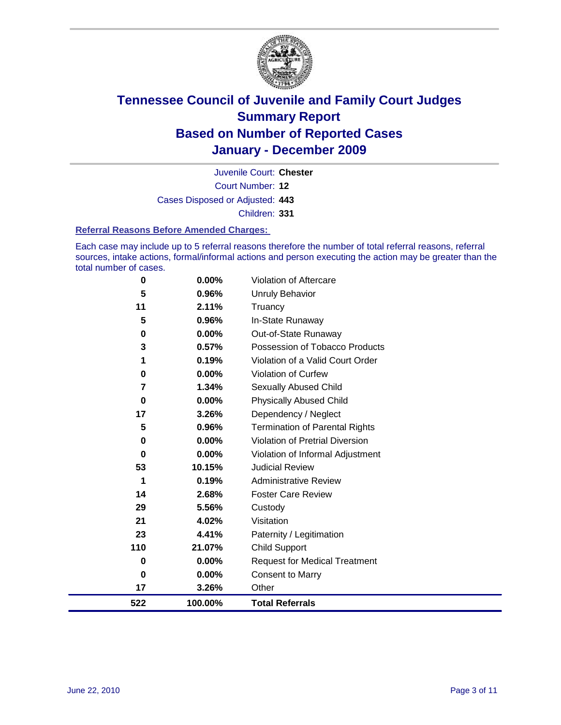

Court Number: **12** Juvenile Court: **Chester** Cases Disposed or Adjusted: **443** Children: **331**

#### **Referral Reasons Before Amended Charges:**

Each case may include up to 5 referral reasons therefore the number of total referral reasons, referral sources, intake actions, formal/informal actions and person executing the action may be greater than the total number of cases.

| 0           | 0.00%   | Violation of Aftercare                 |
|-------------|---------|----------------------------------------|
| 5           | 0.96%   | <b>Unruly Behavior</b>                 |
| 11          | 2.11%   | Truancy                                |
| 5           | 0.96%   | In-State Runaway                       |
| $\mathbf 0$ | 0.00%   | Out-of-State Runaway                   |
| 3           | 0.57%   | Possession of Tobacco Products         |
| 1           | 0.19%   | Violation of a Valid Court Order       |
| $\mathbf 0$ | 0.00%   | Violation of Curfew                    |
| 7           | 1.34%   | <b>Sexually Abused Child</b>           |
| $\bf{0}$    | 0.00%   | <b>Physically Abused Child</b>         |
| 17          | 3.26%   | Dependency / Neglect                   |
| 5           | 0.96%   | <b>Termination of Parental Rights</b>  |
| $\mathbf 0$ | 0.00%   | <b>Violation of Pretrial Diversion</b> |
| $\mathbf 0$ | 0.00%   | Violation of Informal Adjustment       |
| 53          | 10.15%  | <b>Judicial Review</b>                 |
| 1           | 0.19%   | <b>Administrative Review</b>           |
| 14          | 2.68%   | <b>Foster Care Review</b>              |
| 29          | 5.56%   | Custody                                |
| 21          | 4.02%   | Visitation                             |
| 23          | 4.41%   | Paternity / Legitimation               |
| 110         | 21.07%  | <b>Child Support</b>                   |
| 0           | 0.00%   | <b>Request for Medical Treatment</b>   |
| $\bf{0}$    | 0.00%   | <b>Consent to Marry</b>                |
| 17          | 3.26%   | Other                                  |
| 522         | 100.00% | <b>Total Referrals</b>                 |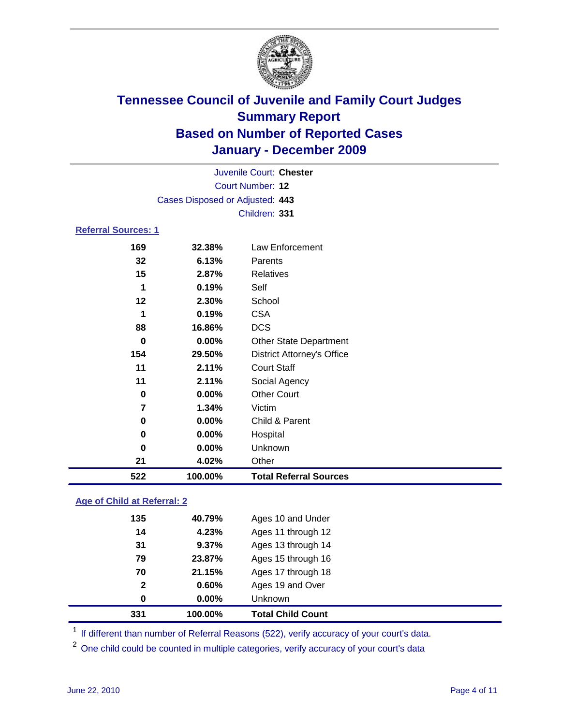

|                            |                                 | Juvenile Court: Chester           |  |  |  |
|----------------------------|---------------------------------|-----------------------------------|--|--|--|
| <b>Court Number: 12</b>    |                                 |                                   |  |  |  |
|                            | Cases Disposed or Adjusted: 443 |                                   |  |  |  |
|                            |                                 | Children: 331                     |  |  |  |
| <b>Referral Sources: 1</b> |                                 |                                   |  |  |  |
| 169                        | 32.38%                          | Law Enforcement                   |  |  |  |
| 32                         | 6.13%                           | Parents                           |  |  |  |
| 15                         | 2.87%                           | <b>Relatives</b>                  |  |  |  |
| 1                          | 0.19%                           | Self                              |  |  |  |
| 12                         | 2.30%                           | School                            |  |  |  |
| 1                          | 0.19%                           | <b>CSA</b>                        |  |  |  |
| 88                         | 16.86%                          | <b>DCS</b>                        |  |  |  |
| 0                          | $0.00\%$                        | <b>Other State Department</b>     |  |  |  |
| 154                        | 29.50%                          | <b>District Attorney's Office</b> |  |  |  |
| 11                         | 2.11%                           | <b>Court Staff</b>                |  |  |  |
| 11                         | 2.11%                           | Social Agency                     |  |  |  |
| $\bf{0}$                   | 0.00%                           | <b>Other Court</b>                |  |  |  |
| $\overline{7}$             | 1.34%                           | Victim                            |  |  |  |
| 0                          | 0.00%                           | Child & Parent                    |  |  |  |
| 0                          | 0.00%                           | Hospital                          |  |  |  |
| 0                          | 0.00%                           | Unknown                           |  |  |  |
| 21                         | 4.02%                           | Other                             |  |  |  |
| 522                        | 100.00%                         | <b>Total Referral Sources</b>     |  |  |  |

### **Age of Child at Referral: 2**

| 331          | 100.00% | <b>Total Child Count</b> |
|--------------|---------|--------------------------|
| 0            | 0.00%   | <b>Unknown</b>           |
| $\mathbf{2}$ | 0.60%   | Ages 19 and Over         |
| 70           | 21.15%  | Ages 17 through 18       |
| 79           | 23.87%  | Ages 15 through 16       |
| 31           | 9.37%   | Ages 13 through 14       |
| 14           | 4.23%   | Ages 11 through 12       |
| 135          | 40.79%  | Ages 10 and Under        |
|              |         |                          |

<sup>1</sup> If different than number of Referral Reasons (522), verify accuracy of your court's data.

<sup>2</sup> One child could be counted in multiple categories, verify accuracy of your court's data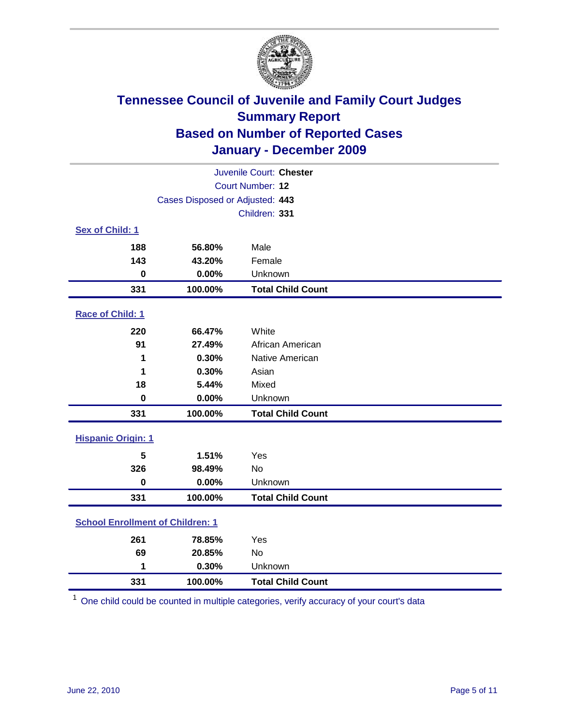

| Juvenile Court: Chester                 |                                 |                          |  |  |
|-----------------------------------------|---------------------------------|--------------------------|--|--|
|                                         | <b>Court Number: 12</b>         |                          |  |  |
|                                         | Cases Disposed or Adjusted: 443 |                          |  |  |
|                                         |                                 | Children: 331            |  |  |
| Sex of Child: 1                         |                                 |                          |  |  |
| 188                                     | 56.80%                          | Male                     |  |  |
| 143                                     | 43.20%                          | Female                   |  |  |
| $\mathbf 0$                             | 0.00%                           | Unknown                  |  |  |
| 331                                     | 100.00%                         | <b>Total Child Count</b> |  |  |
| Race of Child: 1                        |                                 |                          |  |  |
| 220                                     | 66.47%                          | White                    |  |  |
| 91                                      | 27.49%                          | African American         |  |  |
| 1                                       | 0.30%                           | Native American          |  |  |
| 1                                       | 0.30%                           | Asian                    |  |  |
| 18                                      | 5.44%                           | Mixed                    |  |  |
| $\mathbf 0$                             | 0.00%                           | Unknown                  |  |  |
| 331                                     | 100.00%                         | <b>Total Child Count</b> |  |  |
| <b>Hispanic Origin: 1</b>               |                                 |                          |  |  |
| 5                                       | 1.51%                           | Yes                      |  |  |
| 326                                     | 98.49%                          | No                       |  |  |
| $\mathbf 0$                             | 0.00%                           | Unknown                  |  |  |
| 331                                     | 100.00%                         | <b>Total Child Count</b> |  |  |
| <b>School Enrollment of Children: 1</b> |                                 |                          |  |  |
| 261                                     | 78.85%                          | Yes                      |  |  |
| 69                                      | 20.85%                          | No                       |  |  |
| 1                                       | 0.30%                           | Unknown                  |  |  |
| 331                                     | 100.00%                         | <b>Total Child Count</b> |  |  |

One child could be counted in multiple categories, verify accuracy of your court's data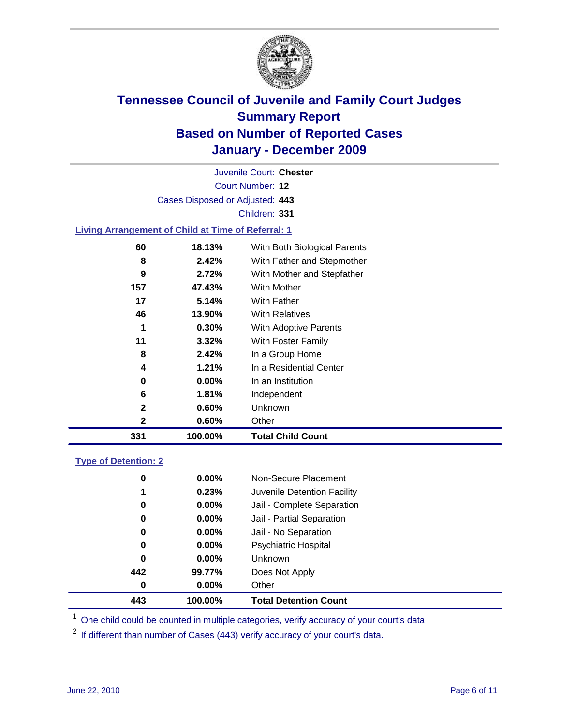

Court Number: **12** Juvenile Court: **Chester** Cases Disposed or Adjusted: **443** Children: **331 Living Arrangement of Child at Time of Referral: 1 18.13%** With Both Biological Parents

| 331 | 100.00%  | <b>Total Child Count</b>   |
|-----|----------|----------------------------|
| 2   | 0.60%    | Other                      |
| 2   | 0.60%    | Unknown                    |
| 6   | 1.81%    | Independent                |
| 0   | $0.00\%$ | In an Institution          |
| 4   | 1.21%    | In a Residential Center    |
| 8   | 2.42%    | In a Group Home            |
| 11  | 3.32%    | With Foster Family         |
| 1   | 0.30%    | With Adoptive Parents      |
| 46  | 13.90%   | <b>With Relatives</b>      |
| 17  | 5.14%    | With Father                |
| 157 | 47.43%   | With Mother                |
| 9   | 2.72%    | With Mother and Stepfather |
| 8   | 2.42%    | With Father and Stepmother |
|     |          |                            |

### **Type of Detention: 2**

| 443      | 100.00%  | <b>Total Detention Count</b> |  |
|----------|----------|------------------------------|--|
| 0        | $0.00\%$ | Other                        |  |
| 442      | 99.77%   | Does Not Apply               |  |
| 0        | $0.00\%$ | <b>Unknown</b>               |  |
| 0        | $0.00\%$ | Psychiatric Hospital         |  |
| $\bf{0}$ | 0.00%    | Jail - No Separation         |  |
| 0        | $0.00\%$ | Jail - Partial Separation    |  |
| 0        | $0.00\%$ | Jail - Complete Separation   |  |
| 1        | 0.23%    | Juvenile Detention Facility  |  |
| 0        | $0.00\%$ | Non-Secure Placement         |  |
|          |          |                              |  |

<sup>1</sup> One child could be counted in multiple categories, verify accuracy of your court's data

<sup>2</sup> If different than number of Cases (443) verify accuracy of your court's data.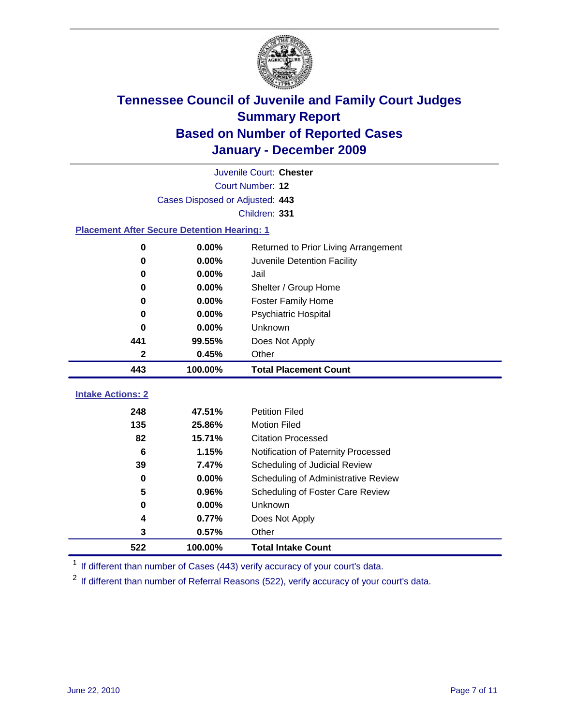

| Juvenile Court: Chester                            |                                 |                                      |  |  |  |
|----------------------------------------------------|---------------------------------|--------------------------------------|--|--|--|
|                                                    | Court Number: 12                |                                      |  |  |  |
|                                                    | Cases Disposed or Adjusted: 443 |                                      |  |  |  |
|                                                    |                                 | Children: 331                        |  |  |  |
| <b>Placement After Secure Detention Hearing: 1</b> |                                 |                                      |  |  |  |
| $\mathbf 0$                                        | 0.00%                           | Returned to Prior Living Arrangement |  |  |  |
| 0                                                  | 0.00%                           | Juvenile Detention Facility          |  |  |  |
| 0                                                  | 0.00%                           | Jail                                 |  |  |  |
| 0                                                  | 0.00%                           | Shelter / Group Home                 |  |  |  |
| 0                                                  | 0.00%                           | <b>Foster Family Home</b>            |  |  |  |
| 0                                                  | 0.00%                           | Psychiatric Hospital                 |  |  |  |
| 0                                                  | $0.00\%$                        | Unknown                              |  |  |  |
| 441                                                | 99.55%                          | Does Not Apply                       |  |  |  |
| $\mathbf{2}$                                       | 0.45%                           | Other                                |  |  |  |
| 443                                                | 100.00%                         | <b>Total Placement Count</b>         |  |  |  |
| <b>Intake Actions: 2</b>                           |                                 |                                      |  |  |  |
| 248                                                | 47.51%                          | <b>Petition Filed</b>                |  |  |  |
| 135                                                | 25.86%                          | <b>Motion Filed</b>                  |  |  |  |
| 82                                                 | 15.71%                          | <b>Citation Processed</b>            |  |  |  |
| 6                                                  | 1.15%                           | Notification of Paternity Processed  |  |  |  |
| 39                                                 | 7.47%                           | Scheduling of Judicial Review        |  |  |  |
| 0                                                  | 0.00%                           | Scheduling of Administrative Review  |  |  |  |
| 5                                                  | 0.96%                           | Scheduling of Foster Care Review     |  |  |  |
| $\mathbf 0$                                        | 0.00%                           | Unknown                              |  |  |  |
| 4                                                  | 0.77%                           | Does Not Apply                       |  |  |  |
| 3                                                  | 0.57%                           | Other                                |  |  |  |
| 522                                                | 100.00%                         | <b>Total Intake Count</b>            |  |  |  |

<sup>1</sup> If different than number of Cases (443) verify accuracy of your court's data.

<sup>2</sup> If different than number of Referral Reasons (522), verify accuracy of your court's data.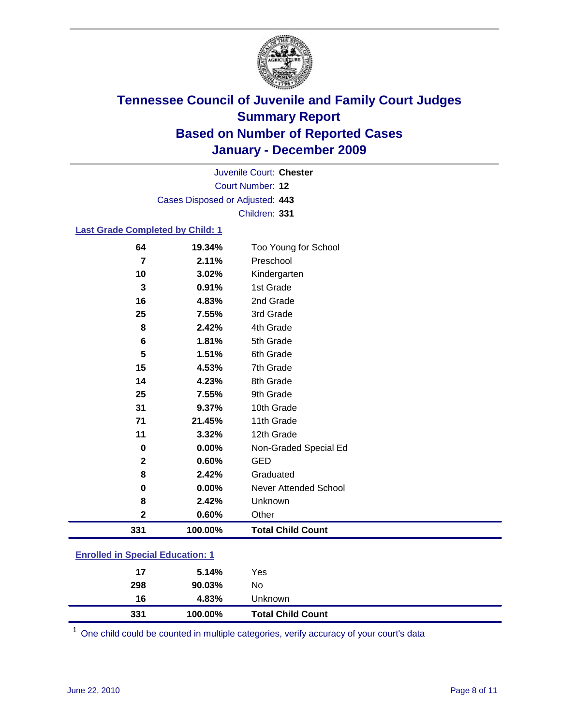

Court Number: **12** Juvenile Court: **Chester** Cases Disposed or Adjusted: **443** Children: **331**

### **Last Grade Completed by Child: 1**

| 64                                      | 19.34%  | Too Young for School         |  |
|-----------------------------------------|---------|------------------------------|--|
| $\overline{7}$                          | 2.11%   | Preschool                    |  |
| 10                                      | 3.02%   | Kindergarten                 |  |
| 3                                       | 0.91%   | 1st Grade                    |  |
| 16                                      | 4.83%   | 2nd Grade                    |  |
| 25                                      | 7.55%   | 3rd Grade                    |  |
| 8                                       | 2.42%   | 4th Grade                    |  |
| 6                                       | 1.81%   | 5th Grade                    |  |
| 5                                       | 1.51%   | 6th Grade                    |  |
| 15                                      | 4.53%   | 7th Grade                    |  |
| 14                                      | 4.23%   | 8th Grade                    |  |
| 25                                      | 7.55%   | 9th Grade                    |  |
| 31                                      | 9.37%   | 10th Grade                   |  |
| 71                                      | 21.45%  | 11th Grade                   |  |
| 11                                      | 3.32%   | 12th Grade                   |  |
| 0                                       | 0.00%   | Non-Graded Special Ed        |  |
| $\overline{2}$                          | 0.60%   | <b>GED</b>                   |  |
| 8                                       | 2.42%   | Graduated                    |  |
| 0                                       | 0.00%   | <b>Never Attended School</b> |  |
| 8                                       | 2.42%   | Unknown                      |  |
| $\mathbf 2$                             | 0.60%   | Other                        |  |
| 331                                     | 100.00% | <b>Total Child Count</b>     |  |
| <b>Enrolled in Special Education: 1</b> |         |                              |  |

| 331                                   | 100.00% | <b>Total Child Count</b> |  |  |
|---------------------------------------|---------|--------------------------|--|--|
| 16                                    | 4.83%   | <b>Unknown</b>           |  |  |
| 298                                   | 90.03%  | No                       |  |  |
| 17                                    | 5.14%   | Yes                      |  |  |
| <u>Emonda in opecial Education. T</u> |         |                          |  |  |

One child could be counted in multiple categories, verify accuracy of your court's data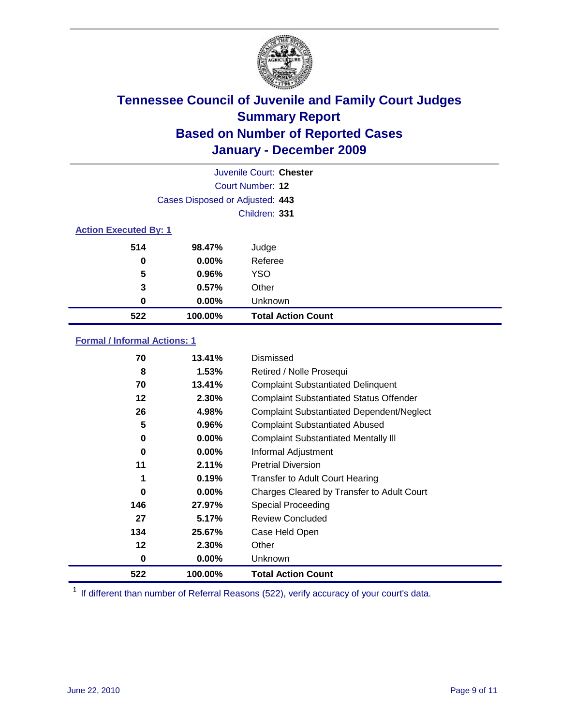

| Juvenile Court: Chester      |                                 |                           |  |  |
|------------------------------|---------------------------------|---------------------------|--|--|
|                              | Court Number: 12                |                           |  |  |
|                              | Cases Disposed or Adjusted: 443 |                           |  |  |
|                              |                                 | Children: 331             |  |  |
| <b>Action Executed By: 1</b> |                                 |                           |  |  |
| 514                          | 98.47%                          | Judge                     |  |  |
| 0                            | $0.00\%$                        | Referee                   |  |  |
| 5                            | 0.96%                           | <b>YSO</b>                |  |  |
| 3                            | 0.57%                           | Other                     |  |  |
| 0                            | $0.00\%$                        | Unknown                   |  |  |
| 522                          | 100.00%                         | <b>Total Action Count</b> |  |  |

### **Formal / Informal Actions: 1**

| 70  | 13.41%   | Dismissed                                        |
|-----|----------|--------------------------------------------------|
| 8   | 1.53%    | Retired / Nolle Prosequi                         |
| 70  | 13.41%   | <b>Complaint Substantiated Delinquent</b>        |
| 12  | 2.30%    | <b>Complaint Substantiated Status Offender</b>   |
| 26  | 4.98%    | <b>Complaint Substantiated Dependent/Neglect</b> |
| 5   | 0.96%    | <b>Complaint Substantiated Abused</b>            |
| 0   | $0.00\%$ | <b>Complaint Substantiated Mentally III</b>      |
| 0   | $0.00\%$ | Informal Adjustment                              |
| 11  | 2.11%    | <b>Pretrial Diversion</b>                        |
|     | 0.19%    | <b>Transfer to Adult Court Hearing</b>           |
| 0   | 0.00%    | Charges Cleared by Transfer to Adult Court       |
| 146 | 27.97%   | Special Proceeding                               |
| 27  | 5.17%    | <b>Review Concluded</b>                          |
| 134 | 25.67%   | Case Held Open                                   |
| 12  | 2.30%    | Other                                            |
| 0   | $0.00\%$ | <b>Unknown</b>                                   |
| 522 | 100.00%  | <b>Total Action Count</b>                        |

<sup>1</sup> If different than number of Referral Reasons (522), verify accuracy of your court's data.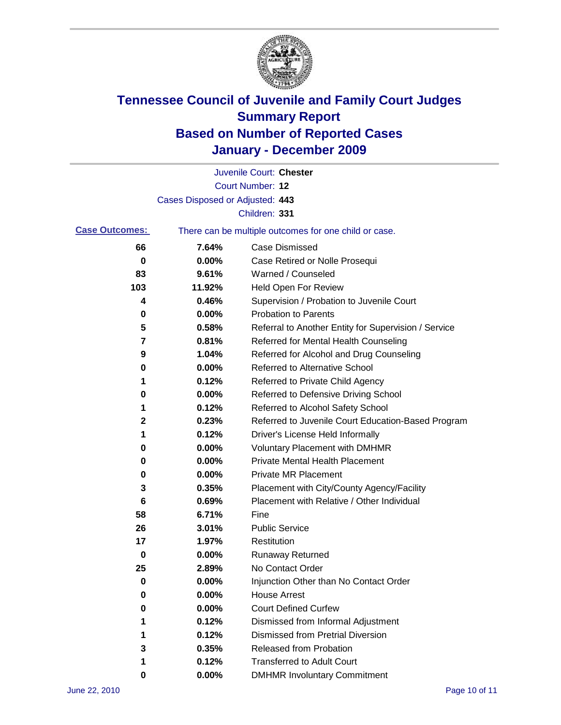

|                       |                                 | Juvenile Court: Chester                               |
|-----------------------|---------------------------------|-------------------------------------------------------|
|                       |                                 | Court Number: 12                                      |
|                       | Cases Disposed or Adjusted: 443 |                                                       |
|                       |                                 | Children: 331                                         |
| <b>Case Outcomes:</b> |                                 | There can be multiple outcomes for one child or case. |
| 66                    | 7.64%                           | <b>Case Dismissed</b>                                 |
| 0                     | 0.00%                           | Case Retired or Nolle Prosequi                        |
| 83                    | 9.61%                           | Warned / Counseled                                    |
| 103                   | 11.92%                          | <b>Held Open For Review</b>                           |
| 4                     | 0.46%                           | Supervision / Probation to Juvenile Court             |
| 0                     | 0.00%                           | <b>Probation to Parents</b>                           |
| 5                     | 0.58%                           | Referral to Another Entity for Supervision / Service  |
| 7                     | 0.81%                           | Referred for Mental Health Counseling                 |
| 9                     | 1.04%                           | Referred for Alcohol and Drug Counseling              |
| 0                     | 0.00%                           | Referred to Alternative School                        |
| 1                     | 0.12%                           | Referred to Private Child Agency                      |
| 0                     | 0.00%                           | Referred to Defensive Driving School                  |
| 1                     | 0.12%                           | Referred to Alcohol Safety School                     |
| 2                     | 0.23%                           | Referred to Juvenile Court Education-Based Program    |
| 1                     | 0.12%                           | Driver's License Held Informally                      |
| 0                     | 0.00%                           | <b>Voluntary Placement with DMHMR</b>                 |
| 0                     | 0.00%                           | <b>Private Mental Health Placement</b>                |
| 0                     | 0.00%                           | <b>Private MR Placement</b>                           |
| 3                     | 0.35%                           | Placement with City/County Agency/Facility            |
| 6                     | 0.69%                           | Placement with Relative / Other Individual            |
| 58                    | 6.71%                           | Fine                                                  |
| 26                    | 3.01%                           | <b>Public Service</b>                                 |
| 17                    | 1.97%                           | Restitution                                           |
| 0                     | 0.00%                           | Runaway Returned                                      |
| 25                    | 2.89%                           | No Contact Order                                      |
| 0                     | 0.00%                           | Injunction Other than No Contact Order                |
| 0                     | 0.00%                           | <b>House Arrest</b>                                   |
| 0                     | 0.00%                           | <b>Court Defined Curfew</b>                           |
| 1                     | 0.12%                           | Dismissed from Informal Adjustment                    |
| 1                     | 0.12%                           | <b>Dismissed from Pretrial Diversion</b>              |
| 3                     | 0.35%                           | Released from Probation                               |
| 1                     | 0.12%                           | <b>Transferred to Adult Court</b>                     |
| 0                     | 0.00%                           | <b>DMHMR Involuntary Commitment</b>                   |